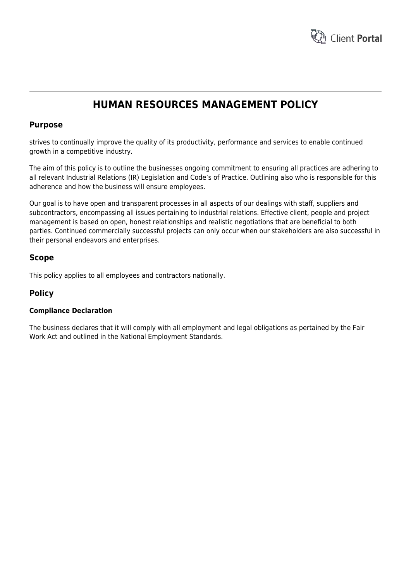

# **HUMAN RESOURCES MANAGEMENT POLICY**

## **Purpose**

strives to continually improve the quality of its productivity, performance and services to enable continued growth in a competitive industry.

The aim of this policy is to outline the businesses ongoing commitment to ensuring all practices are adhering to all relevant Industrial Relations (IR) Legislation and Code's of Practice. Outlining also who is responsible for this adherence and how the business will ensure employees.

Our goal is to have open and transparent processes in all aspects of our dealings with staff, suppliers and subcontractors, encompassing all issues pertaining to industrial relations. Effective client, people and project management is based on open, honest relationships and realistic negotiations that are beneficial to both parties. Continued commercially successful projects can only occur when our stakeholders are also successful in their personal endeavors and enterprises.

# **Scope**

This policy applies to all employees and contractors nationally.

# **Policy**

### **Compliance Declaration**

The business declares that it will comply with all employment and legal obligations as pertained by the Fair Work Act and outlined in the National Employment Standards.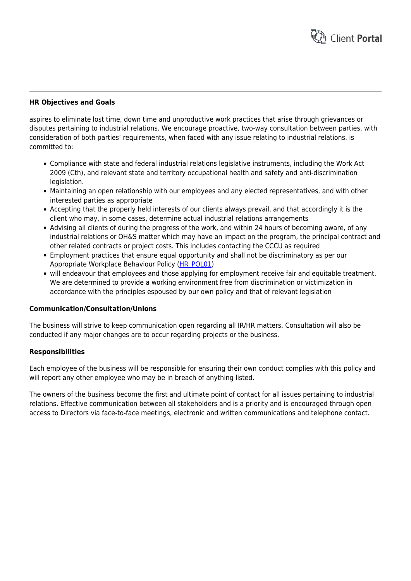

#### **HR Objectives and Goals**

aspires to eliminate lost time, down time and unproductive work practices that arise through grievances or disputes pertaining to industrial relations. We encourage proactive, two-way consultation between parties, with consideration of both parties' requirements, when faced with any issue relating to industrial relations. is committed to:

- Compliance with state and federal industrial relations legislative instruments, including the Work Act 2009 (Cth), and relevant state and territory occupational health and safety and anti-discrimination legislation.
- Maintaining an open relationship with our employees and any elected representatives, and with other interested parties as appropriate
- Accepting that the properly held interests of our clients always prevail, and that accordingly it is the client who may, in some cases, determine actual industrial relations arrangements
- Advising all clients of during the progress of the work, and within 24 hours of becoming aware, of any industrial relations or OH&S matter which may have an impact on the program, the principal contract and other related contracts or project costs. This includes contacting the CCCU as required
- Employment practices that ensure equal opportunity and shall not be discriminatory as per our Appropriate Workplace Behaviour Policy [\(HR\\_POL01\)](https://www.hrtemplates.com.au/form_templates/hr_pol01-appropriate-workplace-behaviors-policy/)
- will endeavour that employees and those applying for employment receive fair and equitable treatment. We are determined to provide a working environment free from discrimination or victimization in accordance with the principles espoused by our own policy and that of relevant legislation

#### **Communication/Consultation/Unions**

The business will strive to keep communication open regarding all IR/HR matters. Consultation will also be conducted if any major changes are to occur regarding projects or the business.

#### **Responsibilities**

Each employee of the business will be responsible for ensuring their own conduct complies with this policy and will report any other employee who may be in breach of anything listed.

The owners of the business become the first and ultimate point of contact for all issues pertaining to industrial relations. Effective communication between all stakeholders and is a priority and is encouraged through open access to Directors via face-to-face meetings, electronic and written communications and telephone contact.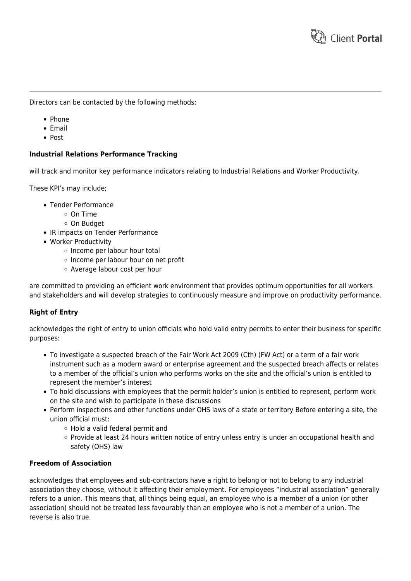

Directors can be contacted by the following methods:

- Phone
- $\bullet$  Email
- Post

#### **Industrial Relations Performance Tracking**

will track and monitor key performance indicators relating to Industrial Relations and Worker Productivity.

These KPI's may include;

- Tender Performance
	- On Time
	- On Budget
- IR impacts on Tender Performance
- Worker Productivity
	- o Income per labour hour total
	- o Income per labour hour on net profit
	- Average labour cost per hour

are committed to providing an efficient work environment that provides optimum opportunities for all workers and stakeholders and will develop strategies to continuously measure and improve on productivity performance.

#### **Right of Entry**

acknowledges the right of entry to union officials who hold valid entry permits to enter their business for specific purposes:

- To investigate a suspected breach of the Fair Work Act 2009 (Cth) (FW Act) or a term of a fair work instrument such as a modern award or enterprise agreement and the suspected breach affects or relates to a member of the official's union who performs works on the site and the official's union is entitled to represent the member's interest
- To hold discussions with employees that the permit holder's union is entitled to represent, perform work on the site and wish to participate in these discussions
- Perform inspections and other functions under OHS laws of a state or territory Before entering a site, the union official must:
	- Hold a valid federal permit and
	- Provide at least 24 hours written notice of entry unless entry is under an occupational health and safety (OHS) law

#### **Freedom of Association**

acknowledges that employees and sub-contractors have a right to belong or not to belong to any industrial association they choose, without it affecting their employment. For employees "industrial association" generally refers to a union. This means that, all things being equal, an employee who is a member of a union (or other association) should not be treated less favourably than an employee who is not a member of a union. The reverse is also true.